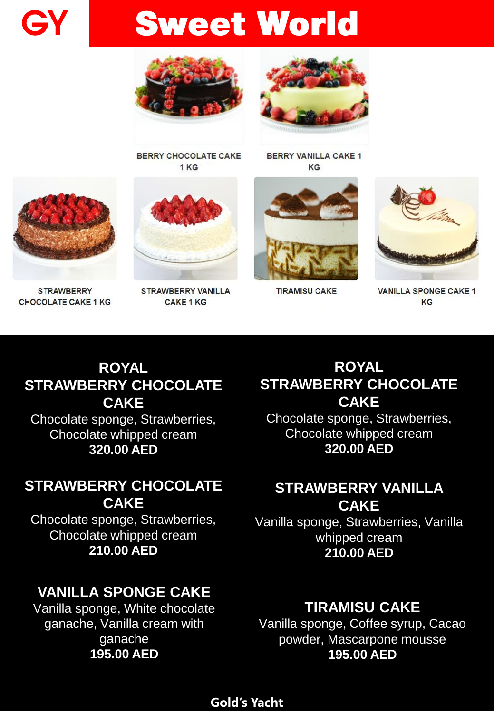**Sweet World** 





**BERRY CHOCOLATE CAKE** 1<sub>KG</sub>

**BERRY VANILLA CAKE 1** KG



**TIRAMISU CAKE** 



**VANILLA SPONGE CAKE 1** KG

#### ROYAL STRAWBERRY CHOCOLATE **CAKE** Chocolate sponge, Strawberries, Chocolate whipped cream 320.00 AED

# STRAWBERRY CHOCOLATE

**CAKE** Chocolate sponge, Strawberries, Chocolate whipped cream 210.00 AED

## VANILLA SPONGE CAKE

Vanilla sponge, White chocolate ganache, Vanilla cream with ganache 195.00 AED

#### ROYAL STRAWBERRY CHOCOLATE **CAKE**

Chocolate sponge, Strawberries, Chocolate whipped cream 320.00 AED

# STRAWBERRY VANILLA

**CAKE** Vanilla sponge, Strawberries, Vanilla whipped cream 210.00 AED

## TIRAMISU CAKE

Vanilla sponge, Coffee syrup, Cacao powder, Mascarpone mousse 195.00 AED

#### **Gold's Yacht**



GY

**STRAWBERRY CHOCOLATE CAKE 1 KG** 

**STRAWBERRY VANILLA CAKE 1 KG**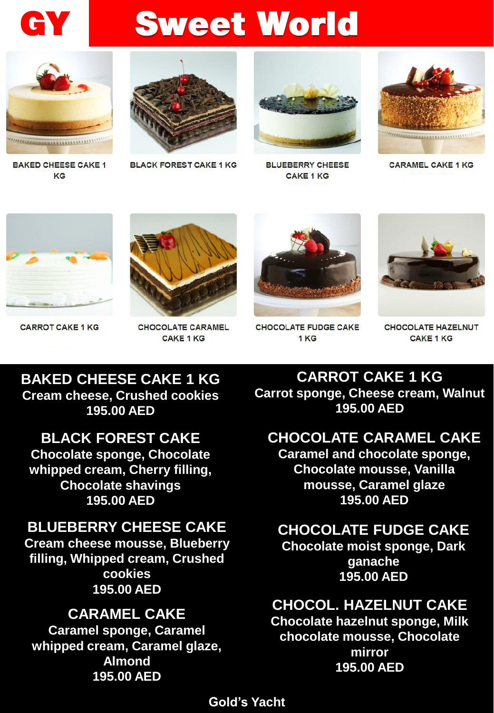

# **Sweet World**



**BAKED CHEESE CAKE 1** KG



**BLACK FOREST CAKE 1 KG** 



**BLUEBERRY CHEESE CAKE 1 KG** 



**CARAMEL CAKE 1 KG** 



**CARROT CAKE 1 KG** 



**CHOCOLATE CARAMEL CAKE 1 KG** 



**CHOCOLATE FUDGE CAKE** 1 KG



**CHOCOLATE HAZELNUT CAKE 1 KG** 

#### BAKED CHEESE CAKE 1 KG Cream cheese, Crushed cookies 195.00 AED

BLACK FOREST CAKE Chocolate sponge, Chocolate whipped cream, Cherry filling, Chocolate shavings 195.00 AED

#### BLUEBERRY CHEESE CAKE

Cream cheese mousse, Blueberry filling, Whipped cream, Crushed cookies 195.00 AED

#### CARAMEL CAKE Caramel sponge, Caramel whipped cream, Caramel glaze, Almond 195.00 AED

CARROT CAKE 1 KG Carrot sponge, Cheese cream, Walnut 195.00 AED

## CHOCOLATE CARAMEL CAKE

Caramel and chocolate sponge, Chocolate mousse, Vanilla mousse, Caramel glaze 195.00 AED

## CHOCOLATE FUDGE CAKE

Chocolate moist sponge, Dark ganache 195.00 AED

## CHOCOL. HAZELNUT CAKE

Chocolate hazelnut sponge, Milk chocolate mousse, Chocolate mirror 195.00 AED

#### Gold's Yacht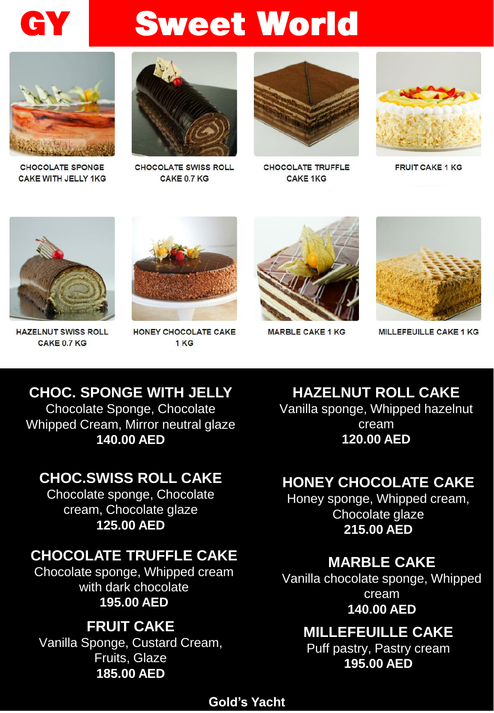



**CHOCOLATE SPONGE CAKE WITH JELLY 1KG** 



**CHOCOLATE SWISS ROLL** CAKE 0.7 KG



**CHOCOLATE TRUFFLE CAKE 1KG** 



**FRUIT CAKE 1 KG** 



**HAZELNUT SWISS ROLL** CAKE 0.7 KG



HONEY CHOCOLATE CAKE 1<sub>KG</sub>



**MARBLE CAKE 1 KG** 



**MILLEFEUILLE CAKE 1 KG** 

CHOC. SPONGE WITH JELLY Chocolate Sponge, Chocolate Whipped Cream, Mirror neutral glaze 140.00 AED

## CHOC.SWISS ROLL CAKE

Chocolate sponge, Chocolate cream, Chocolate glaze 125.00 AED

## CHOCOLATE TRUFFLE CAKE

Chocolate sponge, Whipped cream with dark chocolate 195.00 AED

#### FRUIT CAKE Vanilla Sponge, Custard Cream, Fruits, Glaze 185.00 AED

HAZELNUT ROLL CAKE Vanilla sponge, Whipped hazelnut cream 120.00 AED

# HONEY CHOCOLATE CAKE

Honey sponge, Whipped cream, Chocolate glaze 215.00 AED

#### MARBLE CAKE

Vanilla chocolate sponge, Whipped cream 140.00 AED

## MILLEFEUILLE CAKE

Puff pastry, Pastry cream 195.00 AED

#### Gold's Yacht